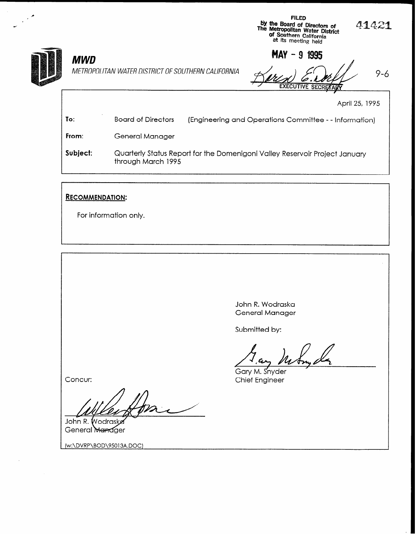

## MWD

MAY - 9 1995 METROPOLITAN WATER DISTRICT OF SOUTHERN CALIFORNIA  $\prec$ **EXECUTIVE SECRETAR** I

FILED

by the Board of Directors of<br>The Metropolitan Water Distric<br>of Southern California<br>at its meeting held

April 25, 1995

41421

| To:      | <b>Board of Directors</b>                                                                         | (Engineering and Operations Committee - - Information) |
|----------|---------------------------------------------------------------------------------------------------|--------------------------------------------------------|
| From:    | General Manager                                                                                   |                                                        |
| Subject: | Quarterly Status Report for the Domenigoni Valley Reservoir Project January<br>through March 1995 |                                                        |

## RECOMMENDATION:

For information only.

John R. Wodraska General Manager

Submitted by:

Gary M. Snyder Chief Engineer

Concur:

John R. Wodraske General Manager

(w:\DVRP\BOD\95013A.DOC)